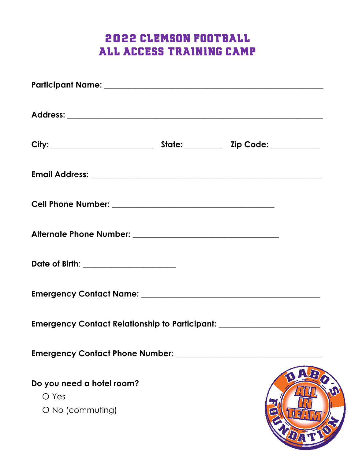# 2022 Clemson Football All Access Training Camp

| Date of Birth: _____________________                                             |  |  |
|----------------------------------------------------------------------------------|--|--|
|                                                                                  |  |  |
| Emergency Contact Relationship to Participant: _________________________________ |  |  |
| <b>Emergency Contact Phone Number:</b>                                           |  |  |
| Do you need a hotel room?<br>O Yes<br>O No (commuting)                           |  |  |

1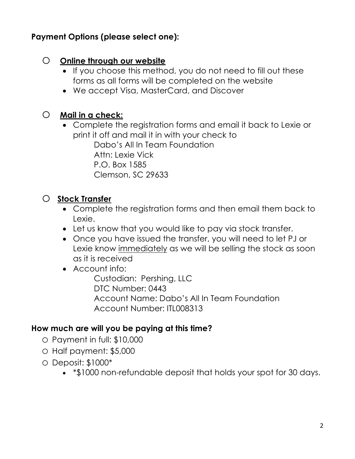#### **Payment Options (please select one):**

#### o **Online through our website**

- If you choose this method, you do not need to fill out these forms as all forms will be completed on the website
- We accept Visa, MasterCard, and Discover

## o **Mail in a check:**

• Complete the registration forms and email it back to Lexie or print it off and mail it in with your check to Dabo's All In Team Foundation Attn: Lexie Vick P.O. Box 1585 Clemson, SC 29633

# o **Stock Transfer**

- Complete the registration forms and then email them back to Lexie.
- Let us know that you would like to pay via stock transfer.
- Once you have issued the transfer, you will need to let PJ or Lexie know immediately as we will be selling the stock as soon as it is received
- Account info:

Custodian: Pershing, LLC DTC Number: 0443 Account Name: Dabo's All In Team Foundation Account Number: ITL008313

## **How much are will you be paying at this time?**

- o Payment in full: \$10,000
- o Half payment: \$5,000
- o Deposit: \$1000\*
	- \*\$1000 non-refundable deposit that holds your spot for 30 days.